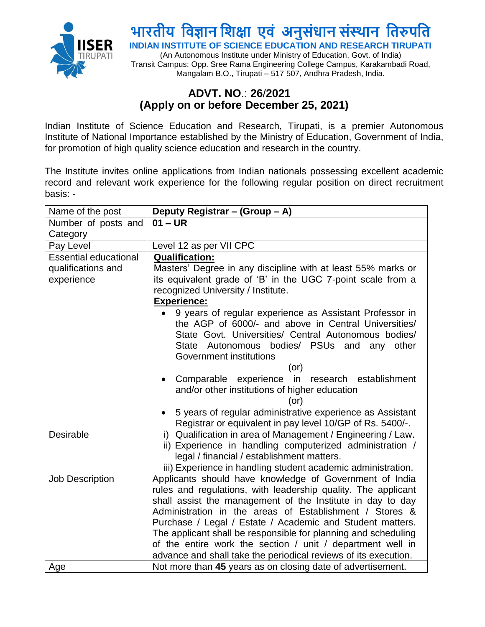

# **भारतीय विज्ञान विक्षा एिं अनुसंधान संस्थान वतरुपवत**

**INDIAN INSTITUTE OF SCIENCE EDUCATION AND RESEARCH TIRUPATI**

(An Autonomous Institute under Ministry of Education, Govt. of India) Transit Campus: Opp. Sree Rama Engineering College Campus, Karakambadi Road, Mangalam B.O., Tirupati – 517 507, Andhra Pradesh, India.

### **ADVT. NO**.: **26**/**2021 (Apply on or before December 25, 2021)**

Indian Institute of Science Education and Research, Tirupati, is a premier Autonomous Institute of National Importance established by the Ministry of Education, Government of India, for promotion of high quality science education and research in the country.

The Institute invites online applications from Indian nationals possessing excellent academic record and relevant work experience for the following regular position on direct recruitment basis: -

| Name of the post             | Deputy Registrar - (Group - A)                                  |
|------------------------------|-----------------------------------------------------------------|
| Number of posts and          | $01 - UR$                                                       |
| Category                     |                                                                 |
| Pay Level                    | Level 12 as per VII CPC                                         |
| <b>Essential educational</b> | <b>Qualification:</b>                                           |
| qualifications and           | Masters' Degree in any discipline with at least 55% marks or    |
| experience                   | its equivalent grade of 'B' in the UGC 7-point scale from a     |
|                              | recognized University / Institute.                              |
|                              | <b>Experience:</b>                                              |
|                              | 9 years of regular experience as Assistant Professor in         |
|                              | the AGP of 6000/- and above in Central Universities/            |
|                              | State Govt. Universities/ Central Autonomous bodies/            |
|                              | State Autonomous bodies/ PSUs and<br>any other                  |
|                              | Government institutions                                         |
|                              | (or)                                                            |
|                              | Comparable experience<br>in<br>research establishment           |
|                              | and/or other institutions of higher education<br>(or)           |
|                              | 5 years of regular administrative experience as Assistant       |
|                              | Registrar or equivalent in pay level 10/GP of Rs. 5400/-.       |
| Desirable                    | i) Qualification in area of Management / Engineering / Law.     |
|                              | ii) Experience in handling computerized administration /        |
|                              | legal / financial / establishment matters.                      |
|                              | iii) Experience in handling student academic administration.    |
| <b>Job Description</b>       | Applicants should have knowledge of Government of India         |
|                              | rules and regulations, with leadership quality. The applicant   |
|                              | shall assist the management of the Institute in day to day      |
|                              | Administration in the areas of Establishment / Stores &         |
|                              | Purchase / Legal / Estate / Academic and Student matters.       |
|                              | The applicant shall be responsible for planning and scheduling  |
|                              | of the entire work the section / unit / department well in      |
|                              | advance and shall take the periodical reviews of its execution. |
| Age                          | Not more than 45 years as on closing date of advertisement.     |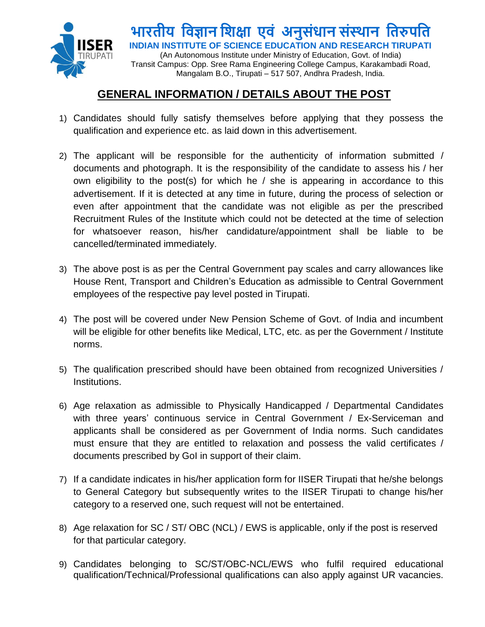

**भारतीय विज्ञान विक्षा एिं अनुसंधान संस्थान वतरुपवत INDIAN INSTITUTE OF SCIENCE EDUCATION AND RESEARCH TIRUPATI** (An Autonomous Institute under Ministry of Education, Govt. of India)

Transit Campus: Opp. Sree Rama Engineering College Campus, Karakambadi Road, Mangalam B.O., Tirupati – 517 507, Andhra Pradesh, India.

# **GENERAL INFORMATION / DETAILS ABOUT THE POST**

- 1) Candidates should fully satisfy themselves before applying that they possess the qualification and experience etc. as laid down in this advertisement.
- 2) The applicant will be responsible for the authenticity of information submitted / documents and photograph. It is the responsibility of the candidate to assess his / her own eligibility to the post(s) for which he  $/$  she is appearing in accordance to this advertisement. If it is detected at any time in future, during the process of selection or even after appointment that the candidate was not eligible as per the prescribed Recruitment Rules of the Institute which could not be detected at the time of selection for whatsoever reason, his/her candidature/appointment shall be liable to be cancelled/terminated immediately.
- 3) The above post is as per the Central Government pay scales and carry allowances like House Rent, Transport and Children's Education as admissible to Central Government employees of the respective pay level posted in Tirupati.
- 4) The post will be covered under New Pension Scheme of Govt. of India and incumbent will be eligible for other benefits like Medical, LTC, etc. as per the Government / Institute norms.
- 5) The qualification prescribed should have been obtained from recognized Universities / Institutions.
- 6) Age relaxation as admissible to Physically Handicapped / Departmental Candidates with three years' continuous service in Central Government / Ex-Serviceman and applicants shall be considered as per Government of India norms. Such candidates must ensure that they are entitled to relaxation and possess the valid certificates / documents prescribed by GoI in support of their claim.
- 7) If a candidate indicates in his/her application form for IISER Tirupati that he/she belongs to General Category but subsequently writes to the IISER Tirupati to change his/her category to a reserved one, such request will not be entertained.
- 8) Age relaxation for SC / ST/ OBC (NCL) / EWS is applicable, only if the post is reserved for that particular category.
- 9) Candidates belonging to SC/ST/OBC-NCL/EWS who fulfil required educational qualification/Technical/Professional qualifications can also apply against UR vacancies.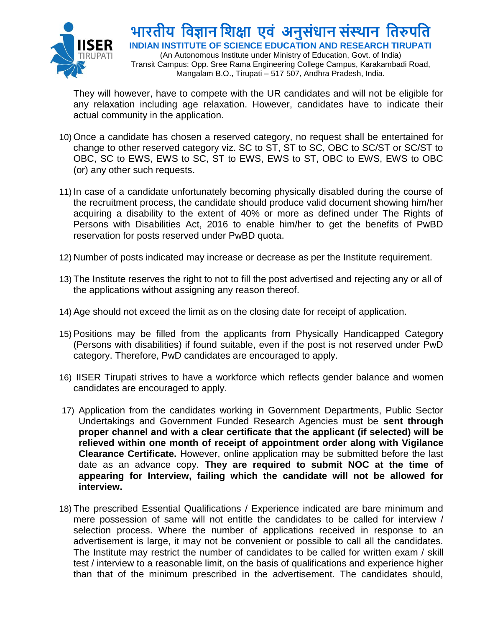

## **भारतीय विज्ञान विक्षा एिं अनुसंधान संस्थान वतरुपवत INDIAN INSTITUTE OF SCIENCE EDUCATION AND RESEARCH TIRUPATI**

(An Autonomous Institute under Ministry of Education, Govt. of India) Transit Campus: Opp. Sree Rama Engineering College Campus, Karakambadi Road, Mangalam B.O., Tirupati – 517 507, Andhra Pradesh, India.

They will however, have to compete with the UR candidates and will not be eligible for any relaxation including age relaxation. However, candidates have to indicate their actual community in the application.

- 10) Once a candidate has chosen a reserved category, no request shall be entertained for change to other reserved category viz. SC to ST, ST to SC, OBC to SC/ST or SC/ST to OBC, SC to EWS, EWS to SC, ST to EWS, EWS to ST, OBC to EWS, EWS to OBC (or) any other such requests.
- 11) In case of a candidate unfortunately becoming physically disabled during the course of the recruitment process, the candidate should produce valid document showing him/her acquiring a disability to the extent of 40% or more as defined under The Rights of Persons with Disabilities Act, 2016 to enable him/her to get the benefits of PwBD reservation for posts reserved under PwBD quota.
- 12) Number of posts indicated may increase or decrease as per the Institute requirement.
- 13) The Institute reserves the right to not to fill the post advertised and rejecting any or all of the applications without assigning any reason thereof.
- 14) Age should not exceed the limit as on the closing date for receipt of application.
- 15) Positions may be filled from the applicants from Physically Handicapped Category (Persons with disabilities) if found suitable, even if the post is not reserved under PwD category. Therefore, PwD candidates are encouraged to apply.
- 16) IISER Tirupati strives to have a workforce which reflects gender balance and women candidates are encouraged to apply.
- 17) Application from the candidates working in Government Departments, Public Sector Undertakings and Government Funded Research Agencies must be **sent through proper channel and with a clear certificate that the applicant (if selected) will be relieved within one month of receipt of appointment order along with Vigilance Clearance Certificate.** However, online application may be submitted before the last date as an advance copy. **They are required to submit NOC at the time of appearing for Interview, failing which the candidate will not be allowed for interview.**
- 18) The prescribed Essential Qualifications / Experience indicated are bare minimum and mere possession of same will not entitle the candidates to be called for interview / selection process. Where the number of applications received in response to an advertisement is large, it may not be convenient or possible to call all the candidates. The Institute may restrict the number of candidates to be called for written exam / skill test / interview to a reasonable limit, on the basis of qualifications and experience higher than that of the minimum prescribed in the advertisement. The candidates should,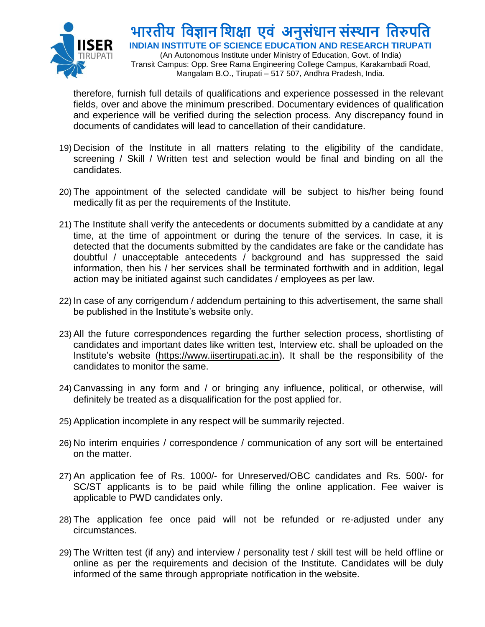

# **भारतीय विज्ञान विक्षा एिं अनुसंधान संस्थान वतरुपवत**

**INDIAN INSTITUTE OF SCIENCE EDUCATION AND RESEARCH TIRUPATI**

(An Autonomous Institute under Ministry of Education, Govt. of India) Transit Campus: Opp. Sree Rama Engineering College Campus, Karakambadi Road, Mangalam B.O., Tirupati – 517 507, Andhra Pradesh, India.

therefore, furnish full details of qualifications and experience possessed in the relevant fields, over and above the minimum prescribed. Documentary evidences of qualification and experience will be verified during the selection process. Any discrepancy found in documents of candidates will lead to cancellation of their candidature.

- 19) Decision of the Institute in all matters relating to the eligibility of the candidate, screening / Skill / Written test and selection would be final and binding on all the candidates.
- 20) The appointment of the selected candidate will be subject to his/her being found medically fit as per the requirements of the Institute.
- 21) The Institute shall verify the antecedents or documents submitted by a candidate at any time, at the time of appointment or during the tenure of the services. In case, it is detected that the documents submitted by the candidates are fake or the candidate has doubtful / unacceptable antecedents / background and has suppressed the said information, then his / her services shall be terminated forthwith and in addition, legal action may be initiated against such candidates / employees as per law.
- 22) In case of any corrigendum / addendum pertaining to this advertisement, the same shall be published in the Institute's website only.
- 23) All the future correspondences regarding the further selection process, shortlisting of candidates and important dates like written test, Interview etc. shall be uploaded on the Institute's website [\(https://www.iisertirupati.ac.in\)](https://www.iisertirupati.ac.in/). It shall be the responsibility of the candidates to monitor the same.
- 24) Canvassing in any form and / or bringing any influence, political, or otherwise, will definitely be treated as a disqualification for the post applied for.
- 25) Application incomplete in any respect will be summarily rejected.
- 26) No interim enquiries / correspondence / communication of any sort will be entertained on the matter.
- 27) An application fee of Rs. 1000/- for Unreserved/OBC candidates and Rs. 500/- for SC/ST applicants is to be paid while filling the online application. Fee waiver is applicable to PWD candidates only.
- 28) The application fee once paid will not be refunded or re-adjusted under any circumstances.
- 29) The Written test (if any) and interview / personality test / skill test will be held offline or online as per the requirements and decision of the Institute. Candidates will be duly informed of the same through appropriate notification in the website.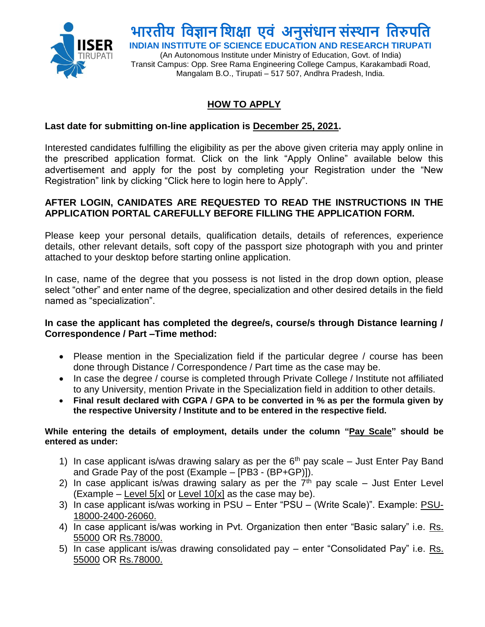

# **भारतीय विज्ञान विक्षा एिं अनुसंधान संस्थान वतरुपवत**

**INDIAN INSTITUTE OF SCIENCE EDUCATION AND RESEARCH TIRUPATI**

(An Autonomous Institute under Ministry of Education, Govt. of India) Transit Campus: Opp. Sree Rama Engineering College Campus, Karakambadi Road, Mangalam B.O., Tirupati – 517 507, Andhra Pradesh, India.

### **HOW TO APPLY**

#### **Last date for submitting on-line application is December 25, 2021.**

Interested candidates fulfilling the eligibility as per the above given criteria may apply online in the prescribed application format. Click on the link "Apply Online" available below this advertisement and apply for the post by completing your Registration under the "New Registration" link by clicking "Click here to login here to Apply".

#### **AFTER LOGIN, CANIDATES ARE REQUESTED TO READ THE INSTRUCTIONS IN THE APPLICATION PORTAL CAREFULLY BEFORE FILLING THE APPLICATION FORM.**

Please keep your personal details, qualification details, details of references, experience details, other relevant details, soft copy of the passport size photograph with you and printer attached to your desktop before starting online application.

In case, name of the degree that you possess is not listed in the drop down option, please select "other" and enter name of the degree, specialization and other desired details in the field named as "specialization".

#### **In case the applicant has completed the degree/s, course/s through Distance learning / Correspondence / Part –Time method:**

- Please mention in the Specialization field if the particular degree / course has been done through Distance / Correspondence / Part time as the case may be.
- In case the degree / course is completed through Private College / Institute not affiliated to any University, mention Private in the Specialization field in addition to other details.
- **Final result declared with CGPA / GPA to be converted in % as per the formula given by the respective University / Institute and to be entered in the respective field.**

#### **While entering the details of employment, details under the column "Pay Scale" should be entered as under:**

- 1) In case applicant is/was drawing salary as per the  $6<sup>th</sup>$  pay scale Just Enter Pay Band and Grade Pay of the post (Example – [PB3 - (BP+GP)]).
- 2) In case applicant is/was drawing salary as per the  $7<sup>th</sup>$  pay scale Just Enter Level  $(Example - Level 5[x] or Level 10[x] as the case may be).$
- 3) In case applicant is/was working in PSU Enter "PSU (Write Scale)". Example: PSU-18000-2400-26060.
- 4) In case applicant is/was working in Pvt. Organization then enter "Basic salary" i.e. Rs. 55000 OR Rs.78000.
- 5) In case applicant is/was drawing consolidated pay enter "Consolidated Pay" i.e. Rs. 55000 OR Rs.78000.